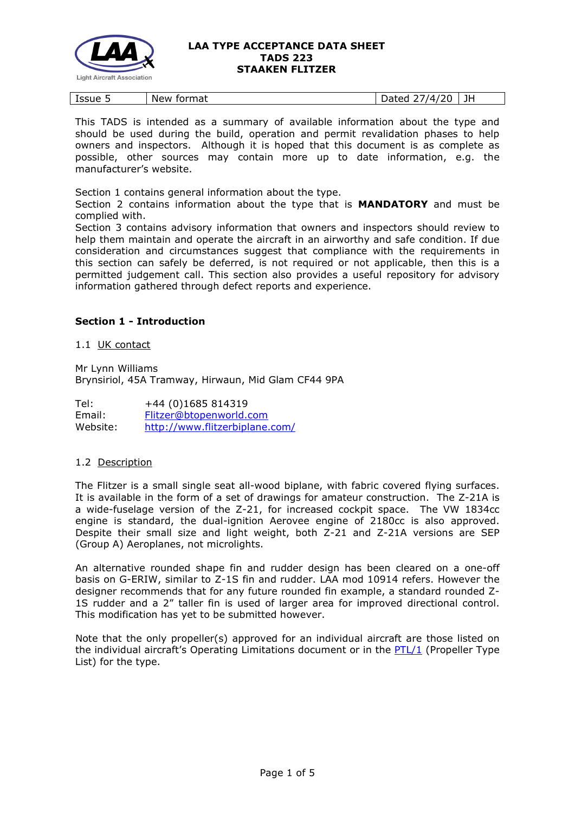

| $\tilde{\phantom{a}}$<br>Lssue 5 | New<br>format | $\sqrt{ }$<br>ഹ<br>valtu.<br>-- | . .<br>. . |
|----------------------------------|---------------|---------------------------------|------------|
|----------------------------------|---------------|---------------------------------|------------|

This TADS is intended as a summary of available information about the type and should be used during the build, operation and permit revalidation phases to help owners and inspectors. Although it is hoped that this document is as complete as possible, other sources may contain more up to date information, e.g. the manufacturer's website.

Section 1 contains general information about the type.

Section 2 contains information about the type that is **MANDATORY** and must be complied with.

Section 3 contains advisory information that owners and inspectors should review to help them maintain and operate the aircraft in an airworthy and safe condition. If due consideration and circumstances suggest that compliance with the requirements in this section can safely be deferred, is not required or not applicable, then this is a permitted judgement call. This section also provides a useful repository for advisory information gathered through defect reports and experience.

## **Section 1 - Introduction**

1.1 UK contact

Mr Lynn Williams Brynsiriol, 45A Tramway, Hirwaun, Mid Glam CF44 9PA

Tel: +44 (0)1685 814319 Email: [Flitzer@btopenworld.com](mailto:Flitzer@btopenworld.com) Website: <http://www.flitzerbiplane.com/>

## 1.2 Description

The Flitzer is a small single seat all-wood biplane, with fabric covered flying surfaces. It is available in the form of a set of drawings for amateur construction. The Z-21A is a wide-fuselage version of the Z-21, for increased cockpit space. The VW 1834cc engine is standard, the dual-ignition Aerovee engine of 2180cc is also approved. Despite their small size and light weight, both Z-21 and Z-21A versions are SEP (Group A) Aeroplanes, not microlights.

An alternative rounded shape fin and rudder design has been cleared on a one-off basis on G-ERIW, similar to Z-1S fin and rudder. LAA mod 10914 refers. However the designer recommends that for any future rounded fin example, a standard rounded Z-1S rudder and a 2" taller fin is used of larger area for improved directional control. This modification has yet to be submitted however.

Note that the only propeller(s) approved for an individual aircraft are those listed on the individual aircraft's Operating Limitations document or in the [PTL/1](http://www.lightaircraftassociation.co.uk/engineering/NewMods/PTL.html) (Propeller Type List) for the type.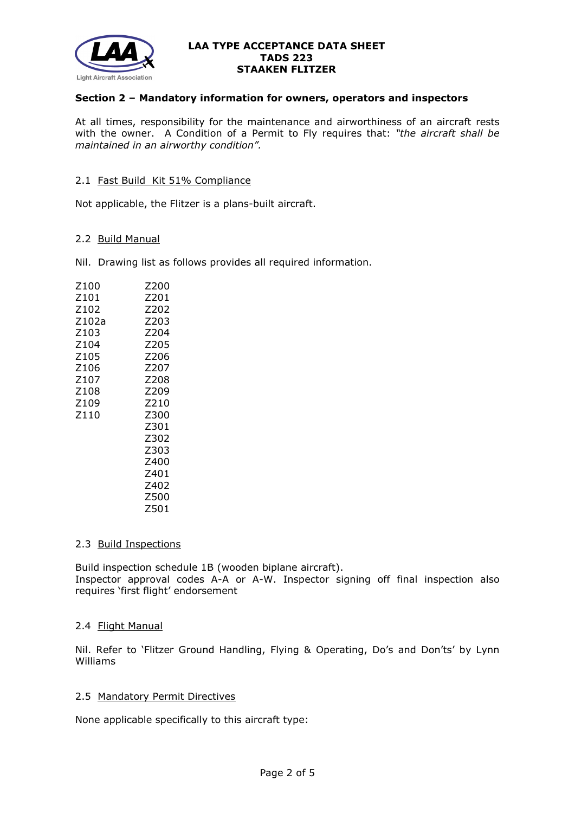

### **Section 2 – Mandatory information for owners, operators and inspectors**

At all times, responsibility for the maintenance and airworthiness of an aircraft rests with the owner. A Condition of a Permit to Fly requires that: *"the aircraft shall be maintained in an airworthy condition".* 

#### 2.1 Fast Build Kit 51% Compliance

Not applicable, the Flitzer is a plans-built aircraft.

#### 2.2 Build Manual

Nil. Drawing list as follows provides all required information.

| Z100  | Z200 |
|-------|------|
| Z101  | 7201 |
| Z102  | Z202 |
| Z102a | Z203 |
| Z103  | Z204 |
| Z104  | Z205 |
| Z105  | Z206 |
| Z106  | 7207 |
| Z107  | Z208 |
| Z108  | Z209 |
| Z109  | Z210 |
| Z110  | Z300 |
|       | Z301 |
|       | Z302 |
|       | Z303 |
|       | Z400 |
|       | 7401 |
|       | 7402 |
|       | Z500 |
|       | Z501 |

#### 2.3 Build Inspections

Build inspection schedule 1B (wooden biplane aircraft). Inspector approval codes A-A or A-W. Inspector signing off final inspection also requires 'first flight' endorsement

## 2.4 Flight Manual

Nil. Refer to 'Flitzer Ground Handling, Flying & Operating, Do's and Don'ts' by Lynn Williams

#### 2.5 Mandatory Permit Directives

None applicable specifically to this aircraft type: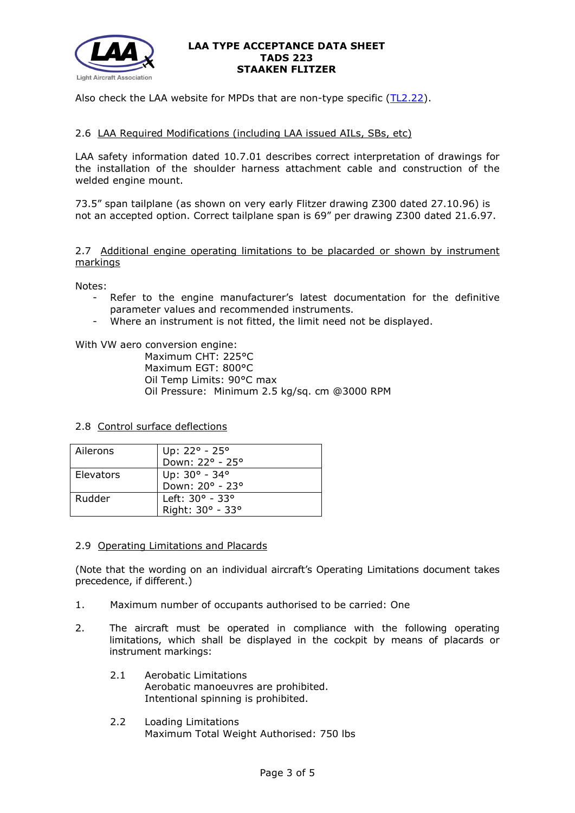

Also check the LAA website for MPDs that are non-type specific [\(TL2.22\)](http://www.lightaircraftassociation.co.uk/engineering/TechnicalLeaflets/Operating%20An%20Aircraft/TL%202.22%20non-type%20specific%20MPDs.pdf).

# 2.6 LAA Required Modifications (including LAA issued AILs, SBs, etc)

LAA safety information dated 10.7.01 describes correct interpretation of drawings for the installation of the shoulder harness attachment cable and construction of the welded engine mount.

73.5" span tailplane (as shown on very early Flitzer drawing Z300 dated 27.10.96) is not an accepted option. Correct tailplane span is 69" per drawing Z300 dated 21.6.97.

2.7 Additional engine operating limitations to be placarded or shown by instrument markings

Notes:

- Refer to the engine manufacturer's latest documentation for the definitive parameter values and recommended instruments.
- Where an instrument is not fitted, the limit need not be displayed.

With VW aero conversion engine:

Maximum CHT: 225°C Maximum EGT: 800°C Oil Temp Limits: 90°C max Oil Pressure: Minimum 2.5 kg/sq. cm @3000 RPM

## 2.8 Control surface deflections

| Ailerons  | Up: 22° - 25°                    |
|-----------|----------------------------------|
|           | Down: 22° - 25°                  |
| Elevators |                                  |
|           | Up: 30° - 34°<br>Down: 20° - 23° |
| Rudder    | Left: 30° - 33°                  |
|           | Right: 30° - 33°                 |

## 2.9 Operating Limitations and Placards

(Note that the wording on an individual aircraft's Operating Limitations document takes precedence, if different.)

- 1. Maximum number of occupants authorised to be carried: One
- 2. The aircraft must be operated in compliance with the following operating limitations, which shall be displayed in the cockpit by means of placards or instrument markings:
	- 2.1 Aerobatic Limitations Aerobatic manoeuvres are prohibited. Intentional spinning is prohibited.
	- 2.2 Loading Limitations Maximum Total Weight Authorised: 750 lbs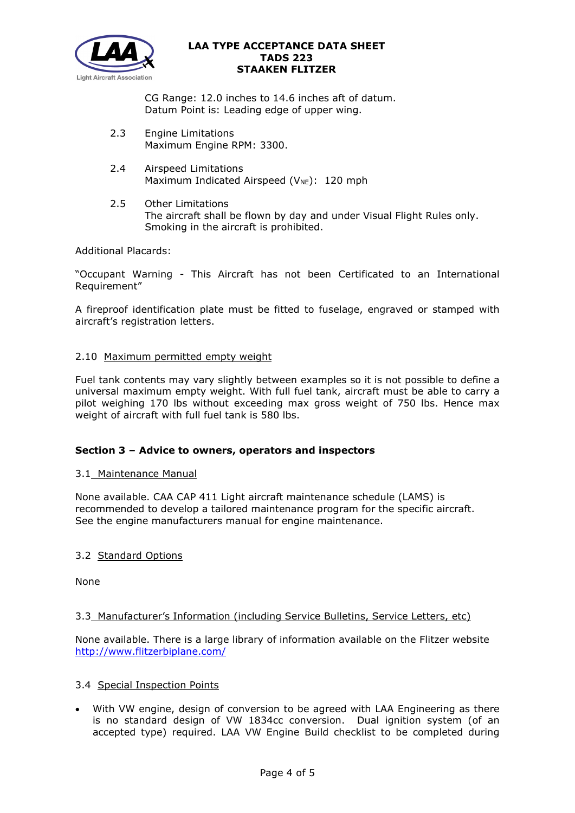

CG Range: 12.0 inches to 14.6 inches aft of datum. Datum Point is: Leading edge of upper wing.

- 2.3 Engine Limitations Maximum Engine RPM: 3300.
- 2.4 Airspeed Limitations Maximum Indicated Airspeed ( $V_{NE}$ ): 120 mph
- 2.5 Other Limitations The aircraft shall be flown by day and under Visual Flight Rules only. Smoking in the aircraft is prohibited.

Additional Placards:

"Occupant Warning - This Aircraft has not been Certificated to an International Requirement"

A fireproof identification plate must be fitted to fuselage, engraved or stamped with aircraft's registration letters.

## 2.10 Maximum permitted empty weight

Fuel tank contents may vary slightly between examples so it is not possible to define a universal maximum empty weight. With full fuel tank, aircraft must be able to carry a pilot weighing 170 lbs without exceeding max gross weight of 750 lbs. Hence max weight of aircraft with full fuel tank is 580 lbs.

## **Section 3 – Advice to owners, operators and inspectors**

## 3.1 Maintenance Manual

None available. CAA CAP 411 Light aircraft maintenance schedule (LAMS) is recommended to develop a tailored maintenance program for the specific aircraft. See the engine manufacturers manual for engine maintenance.

# 3.2 Standard Options

None

# 3.3 Manufacturer's Information (including Service Bulletins, Service Letters, etc)

None available. There is a large library of information available on the Flitzer website <http://www.flitzerbiplane.com/>

## 3.4 Special Inspection Points

• With VW engine, design of conversion to be agreed with LAA Engineering as there is no standard design of VW 1834cc conversion. Dual ignition system (of an accepted type) required. LAA VW Engine Build checklist to be completed during